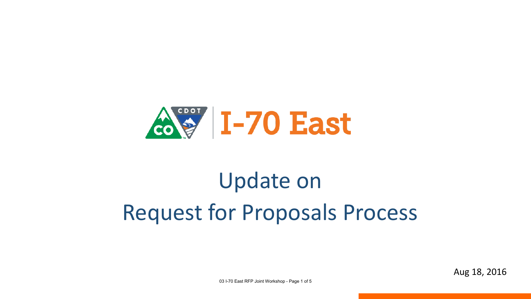

# Update on Request for Proposals Process

Aug 18, 2016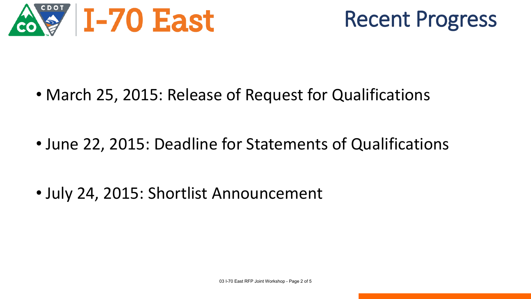



• March 25, 2015: Release of Request for Qualifications

• June 22, 2015: Deadline for Statements of Qualifications

• July 24, 2015: Shortlist Announcement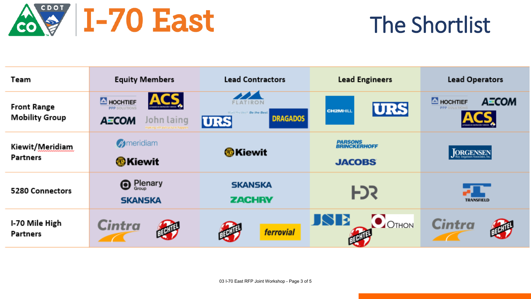

### The Shortlist

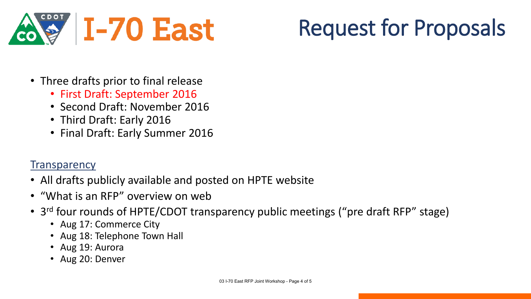

## Request for Proposals

- Three drafts prior to final release
	- First Draft: September 2016
	- Second Draft: November 2016
	- Third Draft: Early 2016
	- Final Draft: Early Summer 2016

#### **Transparency**

- All drafts publicly available and posted on HPTE website
- "What is an RFP" overview on web
- 3<sup>rd</sup> four rounds of HPTE/CDOT transparency public meetings ("pre draft RFP" stage)
	- Aug 17: Commerce City
	- Aug 18: Telephone Town Hall
	- Aug 19: Aurora
	- Aug 20: Denver